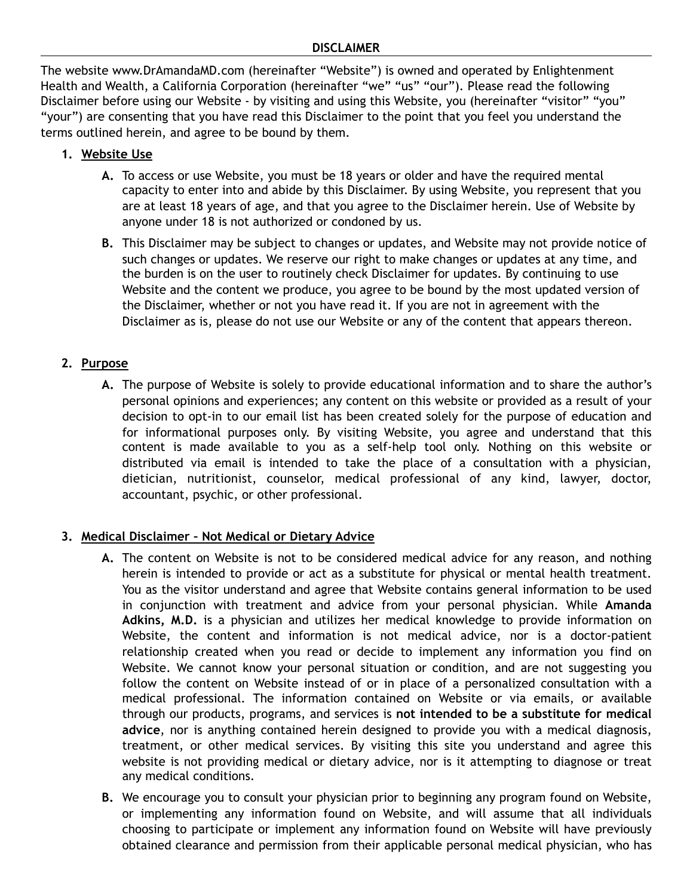#### **DISCLAIMER**

The website www.DrAmandaMD.com (hereinafter "Website") is owned and operated by Enlightenment Health and Wealth, a California Corporation (hereinafter "we" "us" "our"). Please read the following Disclaimer before using our Website - by visiting and using this Website, you (hereinafter "visitor" "you" "your") are consenting that you have read this Disclaimer to the point that you feel you understand the terms outlined herein, and agree to be bound by them.

### **1. Website Use**

- **A.** To access or use Website, you must be 18 years or older and have the required mental capacity to enter into and abide by this Disclaimer. By using Website, you represent that you are at least 18 years of age, and that you agree to the Disclaimer herein. Use of Website by anyone under 18 is not authorized or condoned by us.
- **B.** This Disclaimer may be subject to changes or updates, and Website may not provide notice of such changes or updates. We reserve our right to make changes or updates at any time, and the burden is on the user to routinely check Disclaimer for updates. By continuing to use Website and the content we produce, you agree to be bound by the most updated version of the Disclaimer, whether or not you have read it. If you are not in agreement with the Disclaimer as is, please do not use our Website or any of the content that appears thereon.

### **2. Purpose**

**A.** The purpose of Website is solely to provide educational information and to share the author's personal opinions and experiences; any content on this website or provided as a result of your decision to opt-in to our email list has been created solely for the purpose of education and for informational purposes only. By visiting Website, you agree and understand that this content is made available to you as a self-help tool only. Nothing on this website or distributed via email is intended to take the place of a consultation with a physician, dietician, nutritionist, counselor, medical professional of any kind, lawyer, doctor, accountant, psychic, or other professional.

# **3. Medical Disclaimer – Not Medical or Dietary Advice**

- **A.** The content on Website is not to be considered medical advice for any reason, and nothing herein is intended to provide or act as a substitute for physical or mental health treatment. You as the visitor understand and agree that Website contains general information to be used in conjunction with treatment and advice from your personal physician. While **Amanda Adkins, M.D.** is a physician and utilizes her medical knowledge to provide information on Website, the content and information is not medical advice, nor is a doctor-patient relationship created when you read or decide to implement any information you find on Website. We cannot know your personal situation or condition, and are not suggesting you follow the content on Website instead of or in place of a personalized consultation with a medical professional. The information contained on Website or via emails, or available through our products, programs, and services is **not intended to be a substitute for medical advice**, nor is anything contained herein designed to provide you with a medical diagnosis, treatment, or other medical services. By visiting this site you understand and agree this website is not providing medical or dietary advice, nor is it attempting to diagnose or treat any medical conditions.
- **B.** We encourage you to consult your physician prior to beginning any program found on Website, or implementing any information found on Website, and will assume that all individuals choosing to participate or implement any information found on Website will have previously obtained clearance and permission from their applicable personal medical physician, who has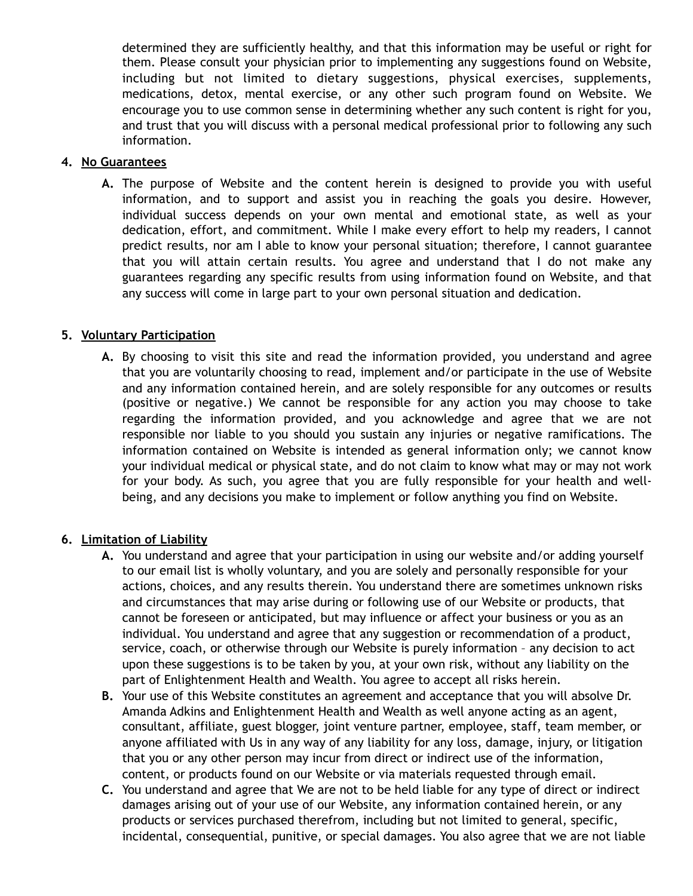determined they are sufficiently healthy, and that this information may be useful or right for them. Please consult your physician prior to implementing any suggestions found on Website, including but not limited to dietary suggestions, physical exercises, supplements, medications, detox, mental exercise, or any other such program found on Website. We encourage you to use common sense in determining whether any such content is right for you, and trust that you will discuss with a personal medical professional prior to following any such information.

#### **4. No Guarantees**

**A.** The purpose of Website and the content herein is designed to provide you with useful information, and to support and assist you in reaching the goals you desire. However, individual success depends on your own mental and emotional state, as well as your dedication, effort, and commitment. While I make every effort to help my readers, I cannot predict results, nor am I able to know your personal situation; therefore, I cannot guarantee that you will attain certain results. You agree and understand that I do not make any guarantees regarding any specific results from using information found on Website, and that any success will come in large part to your own personal situation and dedication.

### **5. Voluntary Participation**

**A.** By choosing to visit this site and read the information provided, you understand and agree that you are voluntarily choosing to read, implement and/or participate in the use of Website and any information contained herein, and are solely responsible for any outcomes or results (positive or negative.) We cannot be responsible for any action you may choose to take regarding the information provided, and you acknowledge and agree that we are not responsible nor liable to you should you sustain any injuries or negative ramifications. The information contained on Website is intended as general information only; we cannot know your individual medical or physical state, and do not claim to know what may or may not work for your body. As such, you agree that you are fully responsible for your health and wellbeing, and any decisions you make to implement or follow anything you find on Website.

# **6. Limitation of Liability**

- **A.** You understand and agree that your participation in using our website and/or adding yourself to our email list is wholly voluntary, and you are solely and personally responsible for your actions, choices, and any results therein. You understand there are sometimes unknown risks and circumstances that may arise during or following use of our Website or products, that cannot be foreseen or anticipated, but may influence or affect your business or you as an individual. You understand and agree that any suggestion or recommendation of a product, service, coach, or otherwise through our Website is purely information – any decision to act upon these suggestions is to be taken by you, at your own risk, without any liability on the part of Enlightenment Health and Wealth. You agree to accept all risks herein.
- **B.** Your use of this Website constitutes an agreement and acceptance that you will absolve Dr. Amanda Adkins and Enlightenment Health and Wealth as well anyone acting as an agent, consultant, affiliate, guest blogger, joint venture partner, employee, staff, team member, or anyone affiliated with Us in any way of any liability for any loss, damage, injury, or litigation that you or any other person may incur from direct or indirect use of the information, content, or products found on our Website or via materials requested through email.
- **C.** You understand and agree that We are not to be held liable for any type of direct or indirect damages arising out of your use of our Website, any information contained herein, or any products or services purchased therefrom, including but not limited to general, specific, incidental, consequential, punitive, or special damages. You also agree that we are not liable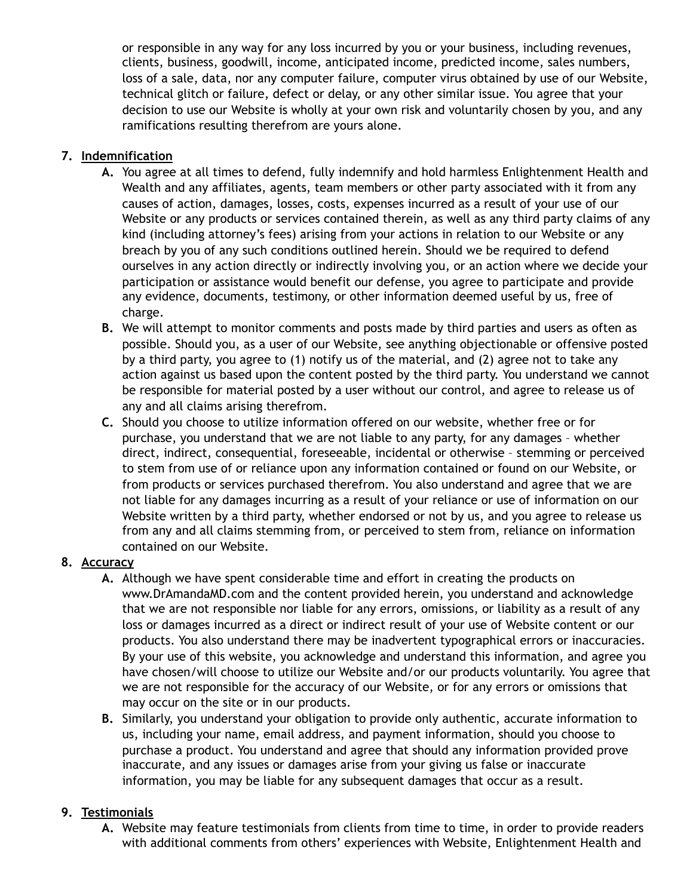or responsible in any way for any loss incurred by you or your business, including revenues, clients, business, goodwill, income, anticipated income, predicted income, sales numbers, loss of a sale, data, nor any computer failure, computer virus obtained by use of our Website, technical glitch or failure, defect or delay, or any other similar issue. You agree that your decision to use our Website is wholly at your own risk and voluntarily chosen by you, and any ramifications resulting therefrom are yours alone.

# **7. Indemnification**

- **A.** You agree at all times to defend, fully indemnify and hold harmless Enlightenment Health and Wealth and any affiliates, agents, team members or other party associated with it from any causes of action, damages, losses, costs, expenses incurred as a result of your use of our Website or any products or services contained therein, as well as any third party claims of any kind (including attorney's fees) arising from your actions in relation to our Website or any breach by you of any such conditions outlined herein. Should we be required to defend ourselves in any action directly or indirectly involving you, or an action where we decide your participation or assistance would benefit our defense, you agree to participate and provide any evidence, documents, testimony, or other information deemed useful by us, free of charge.
- **B.** We will attempt to monitor comments and posts made by third parties and users as often as possible. Should you, as a user of our Website, see anything objectionable or offensive posted by a third party, you agree to (1) notify us of the material, and (2) agree not to take any action against us based upon the content posted by the third party. You understand we cannot be responsible for material posted by a user without our control, and agree to release us of any and all claims arising therefrom.
- **C.** Should you choose to utilize information offered on our website, whether free or for purchase, you understand that we are not liable to any party, for any damages – whether direct, indirect, consequential, foreseeable, incidental or otherwise – stemming or perceived to stem from use of or reliance upon any information contained or found on our Website, or from products or services purchased therefrom. You also understand and agree that we are not liable for any damages incurring as a result of your reliance or use of information on our Website written by a third party, whether endorsed or not by us, and you agree to release us from any and all claims stemming from, or perceived to stem from, reliance on information contained on our Website.

# **8. Accuracy**

- **A.** Although we have spent considerable time and effort in creating the products on www.DrAmandaMD.com and the content provided herein, you understand and acknowledge that we are not responsible nor liable for any errors, omissions, or liability as a result of any loss or damages incurred as a direct or indirect result of your use of Website content or our products. You also understand there may be inadvertent typographical errors or inaccuracies. By your use of this website, you acknowledge and understand this information, and agree you have chosen/will choose to utilize our Website and/or our products voluntarily. You agree that we are not responsible for the accuracy of our Website, or for any errors or omissions that may occur on the site or in our products.
- **B.** Similarly, you understand your obligation to provide only authentic, accurate information to us, including your name, email address, and payment information, should you choose to purchase a product. You understand and agree that should any information provided prove inaccurate, and any issues or damages arise from your giving us false or inaccurate information, you may be liable for any subsequent damages that occur as a result.

# **9. Testimonials**

**A.** Website may feature testimonials from clients from time to time, in order to provide readers with additional comments from others' experiences with Website, Enlightenment Health and